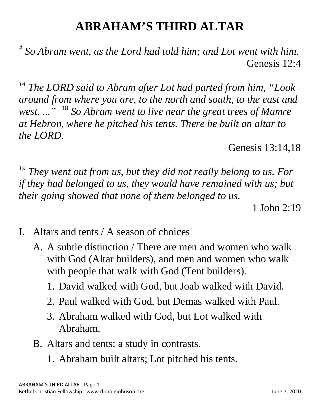## **ABRAHAM'S THIRD ALTAR**

*<sup>4</sup> So Abram went, as the Lord had told him; and Lot went with him.* Genesis 12:4

*<sup>14</sup> The LORD said to Abram after Lot had parted from him, "Look around from where you are, to the north and south, to the east and west. ..."* <sup>18</sup> *So Abram went to live near the great trees of Mamre at Hebron, where he pitched his tents. There he built an altar to the LORD.*

Genesis 13:14,18

*<sup>19</sup> They went out from us, but they did not really belong to us. For if they had belonged to us, they would have remained with us; but their going showed that none of them belonged to us.*

1 John 2:19

- I. Altars and tents / A season of choices
	- A. A subtle distinction / There are men and women who walk with God (Altar builders), and men and women who walk with people that walk with God (Tent builders).
		- 1. David walked with God, but Joab walked with David.
		- 2. Paul walked with God, but Demas walked with Paul.
		- 3. Abraham walked with God, but Lot walked with Abraham.
	- B. Altars and tents: a study in contrasts.
		- 1. Abraham built altars; Lot pitched his tents.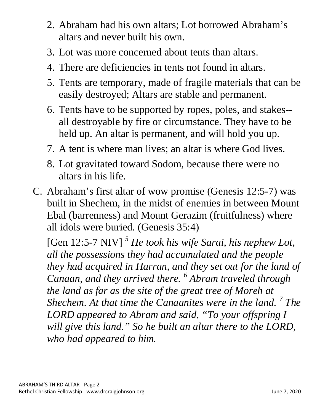- 2. Abraham had his own altars; Lot borrowed Abraham's altars and never built his own.
- 3. Lot was more concerned about tents than altars.
- 4. There are deficiencies in tents not found in altars.
- 5. Tents are temporary, made of fragile materials that can be easily destroyed; Altars are stable and permanent.
- 6. Tents have to be supported by ropes, poles, and stakes- all destroyable by fire or circumstance. They have to be held up. An altar is permanent, and will hold you up.
- 7. A tent is where man lives; an altar is where God lives.
- 8. Lot gravitated toward Sodom, because there were no altars in his life.
- C. Abraham's first altar of wow promise (Genesis 12:5-7) was built in Shechem, in the midst of enemies in between Mount Ebal (barrenness) and Mount Gerazim (fruitfulness) where all idols were buried. (Genesis 35:4)

[Gen 12:5-7 NIV] *<sup>5</sup> He took his wife Sarai, his nephew Lot, all the possessions they had accumulated and the people they had acquired in Harran, and they set out for the land of Canaan, and they arrived there. <sup>6</sup> Abram traveled through the land as far as the site of the great tree of Moreh at Shechem. At that time the Canaanites were in the land. <sup>7</sup> The LORD appeared to Abram and said, "To your offspring I will give this land." So he built an altar there to the LORD, who had appeared to him.*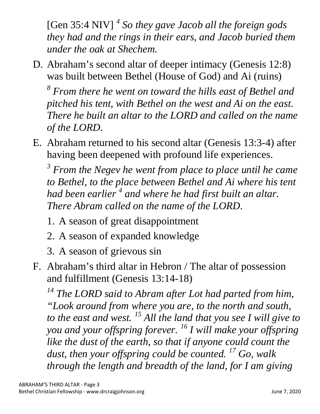[Gen 35:4 NIV] *<sup>4</sup> So they gave Jacob all the foreign gods they had and the rings in their ears, and Jacob buried them under the oak at Shechem.*

D. Abraham's second altar of deeper intimacy (Genesis 12:8) was built between Bethel (House of God) and Ai (ruins)

*<sup>8</sup> From there he went on toward the hills east of Bethel and pitched his tent, with Bethel on the west and Ai on the east. There he built an altar to the LORD and called on the name of the LORD.*

E. Abraham returned to his second altar (Genesis 13:3-4) after having been deepened with profound life experiences.

*<sup>3</sup> From the Negev he went from place to place until he came*  to Bethel, to the place between Bethel and Ai where his tent *had been earlier <sup>4</sup> and where he had first built an altar. There Abram called on the name of the LORD.*

- 1. A season of great disappointment
- 2. A season of expanded knowledge
- 3. A season of grievous sin
- F. Abraham's third altar in Hebron / The altar of possession and fulfillment (Genesis 13:14-18)

*<sup>14</sup> The LORD said to Abram after Lot had parted from him, "Look around from where you are, to the north and south, to the east and west. <sup>15</sup> All the land that you see I will give to you and your offspring forever. <sup>16</sup> I will make your offspring like the dust of the earth, so that if anyone could count the dust, then your offspring could be counted. <sup>17</sup> Go, walk through the length and breadth of the land, for I am giving*